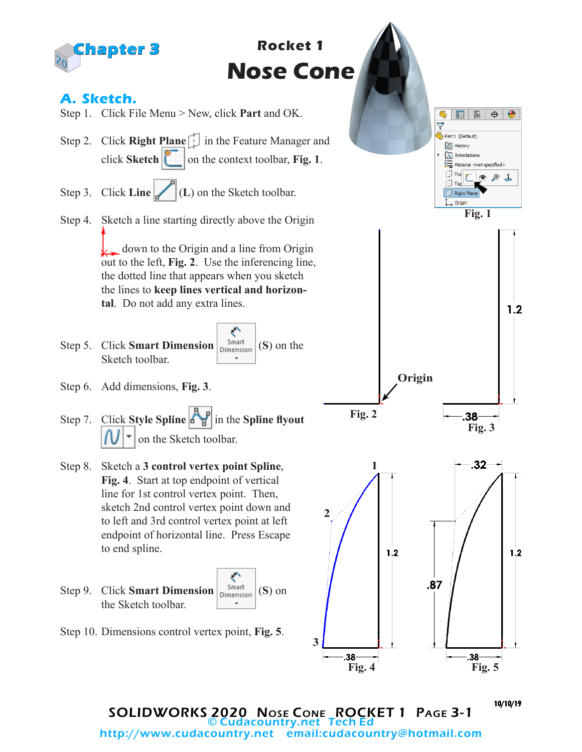

SOLIDWORKS 2020 Nose Cone ROCKET 1 Page 3-1 © Cudacountry.net Tech Ed email:cudacountry@hotmail.com

10/10/19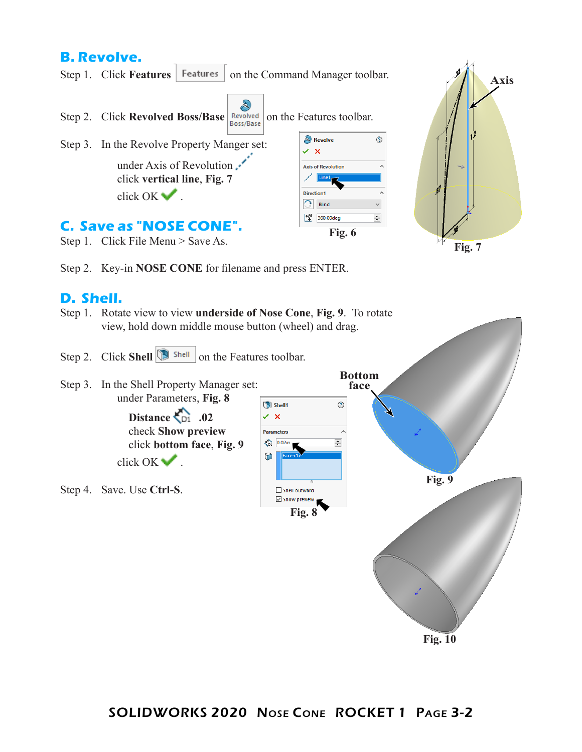## **B. Revolve.**

Step 1. Click Features | Features | on the Command Manager toolbar.



Step 2. Key-in **NOSE CONE** for filename and press ENTER.

## **D. Shell.**

- Step 1. Rotate view to view **underside of Nose Cone**, **Fig. 9**. To rotate view, hold down middle mouse button (wheel) and drag.
- Step 2. Click **Shell Shell** on the Features toolbar.

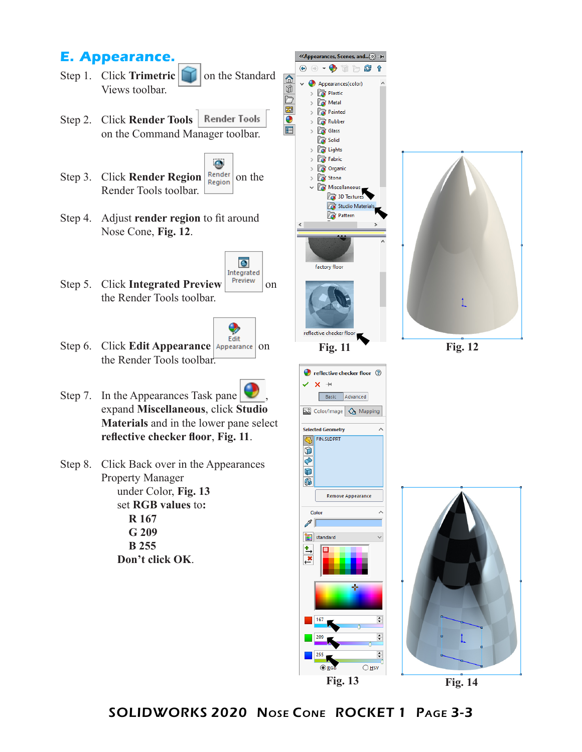## **E. Appearance.**

- Step 1. Click **Trimetric T** on the Standard Views toolbar.
- Step 2. Click **Render Tools Render Tools** on the Command Manager toolbar.
- Step 3. Click **Render Region Render** on the Render Tools toolbar.
- Step 4. Adjust **render region** to fit around Nose Cone, **Fig. 12**.
- Integrated Step 5. Click **Integrated Preview Preview** on the Render Tools toolbar.



 $\overline{\bullet}$ 

|命

Ŵ

b

郾

 $\bullet$ 

肩

- Step 6. Click **Edit Appearance** Appearance on the Render Tools toolbar.
- Step 7. In the Appearances Task pane expand **Miscellaneous**, click **Studio Materials** and in the lower pane select **reflective checker floor**, **Fig. 11**.
- Step 8. Click Back over in the Appearances Property Manager under Color, **Fig. 13** set **RGB values** to**: R 167 G 209 B 255**

**Don't click OK**.





 $\div$  $\div$  $O$  HSV

**Fig. 14**

SOLIDWORKS 2020 Nose Cone ROCKET 1 Page 3-3

**Fig. 12**